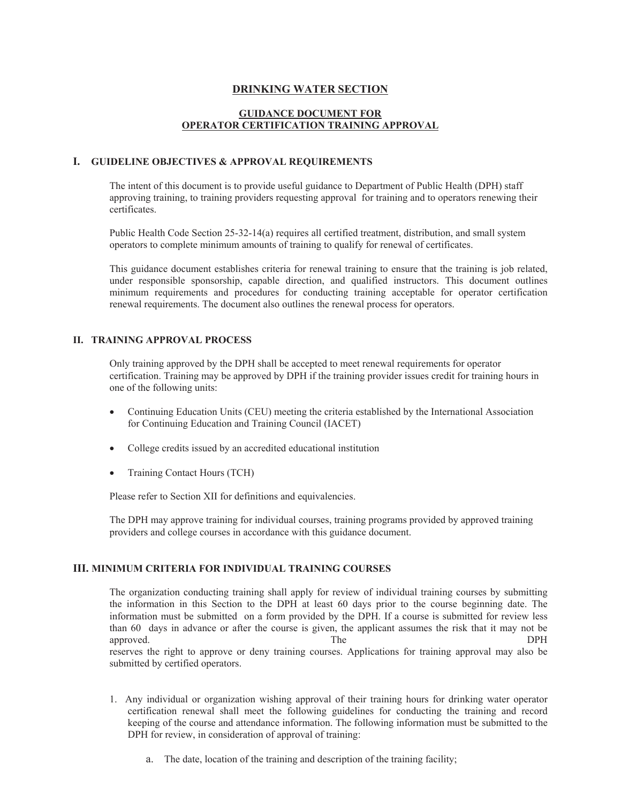# **DRINKING WATER SECTION**

# **GUIDANCE DOCUMENT FOR OPERATOR CERTIFICATION TRAINING APPROVAL**

# **I. GUIDELINE OBJECTIVES & APPROVAL REQUIREMENTS**

The intent of this document is to provide useful guidance to Department of Public Health (DPH) staff approving training, to training providers requesting approval for training and to operators renewing their certificates.

Public Health Code Section 25-32-14(a) requires all certified treatment, distribution, and small system operators to complete minimum amounts of training to qualify for renewal of certificates.

This guidance document establishes criteria for renewal training to ensure that the training is job related, under responsible sponsorship, capable direction, and qualified instructors. This document outlines minimum requirements and procedures for conducting training acceptable for operator certification renewal requirements. The document also outlines the renewal process for operators.

### **II. TRAINING APPROVAL PROCESS**

Only training approved by the DPH shall be accepted to meet renewal requirements for operator certification. Training may be approved by DPH if the training provider issues credit for training hours in one of the following units:

- Continuing Education Units (CEU) meeting the criteria established by the International Association for Continuing Education and Training Council (IACET)
- College credits issued by an accredited educational institution
- Training Contact Hours (TCH)

Please refer to Section XII for definitions and equivalencies.

The DPH may approve training for individual courses, training programs provided by approved training providers and college courses in accordance with this guidance document.

# **III. MINIMUM CRITERIA FOR INDIVIDUAL TRAINING COURSES**

The organization conducting training shall apply for review of individual training courses by submitting the information in this Section to the DPH at least 60 days prior to the course beginning date. The information must be submitted on a form provided by the DPH. If a course is submitted for review less than 60 days in advance or after the course is given, the applicant assumes the risk that it may not be approved. The DPH reserves the right to approve or deny training courses. Applications for training approval may also be submitted by certified operators.

- 1. Any individual or organization wishing approval of their training hours for drinking water operator certification renewal shall meet the following guidelines for conducting the training and record keeping of the course and attendance information. The following information must be submitted to the DPH for review, in consideration of approval of training:
	- a. The date, location of the training and description of the training facility;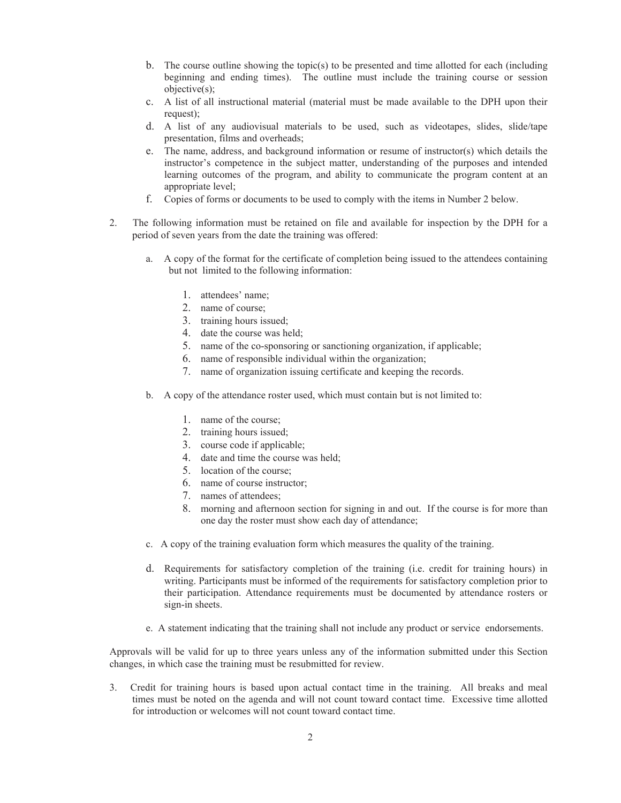- b. The course outline showing the topic(s) to be presented and time allotted for each (including beginning and ending times). The outline must include the training course or session objective(s);
- c. A list of all instructional material (material must be made available to the DPH upon their request);
- d. A list of any audiovisual materials to be used, such as videotapes, slides, slide/tape presentation, films and overheads;
- e. The name, address, and background information or resume of instructor(s) which details the instructor's competence in the subject matter, understanding of the purposes and intended learning outcomes of the program, and ability to communicate the program content at an appropriate level;
- f. Copies of forms or documents to be used to comply with the items in Number 2 below.
- 2. The following information must be retained on file and available for inspection by the DPH for a period of seven years from the date the training was offered:
	- a. A copy of the format for the certificate of completion being issued to the attendees containing but not limited to the following information:
		- 1. attendees' name;
		- 2. name of course;
		- 3. training hours issued;
		- 4. date the course was held;
		- 5. name of the co-sponsoring or sanctioning organization, if applicable;
		- 6. name of responsible individual within the organization;
		- 7. name of organization issuing certificate and keeping the records.
	- b. A copy of the attendance roster used, which must contain but is not limited to:
		- 1. name of the course;
		- 2. training hours issued;
		- 3. course code if applicable;
		- 4. date and time the course was held;
		- 5. location of the course;
		- 6. name of course instructor;
		- 7. names of attendees;
		- 8. morning and afternoon section for signing in and out. If the course is for more than one day the roster must show each day of attendance;
	- c. A copy of the training evaluation form which measures the quality of the training.
	- d. Requirements for satisfactory completion of the training (i.e. credit for training hours) in writing. Participants must be informed of the requirements for satisfactory completion prior to their participation. Attendance requirements must be documented by attendance rosters or sign-in sheets.
	- e. A statement indicating that the training shall not include any product or service endorsements.

Approvals will be valid for up to three years unless any of the information submitted under this Section changes, in which case the training must be resubmitted for review.

3. Credit for training hours is based upon actual contact time in the training. All breaks and meal times must be noted on the agenda and will not count toward contact time. Excessive time allotted for introduction or welcomes will not count toward contact time.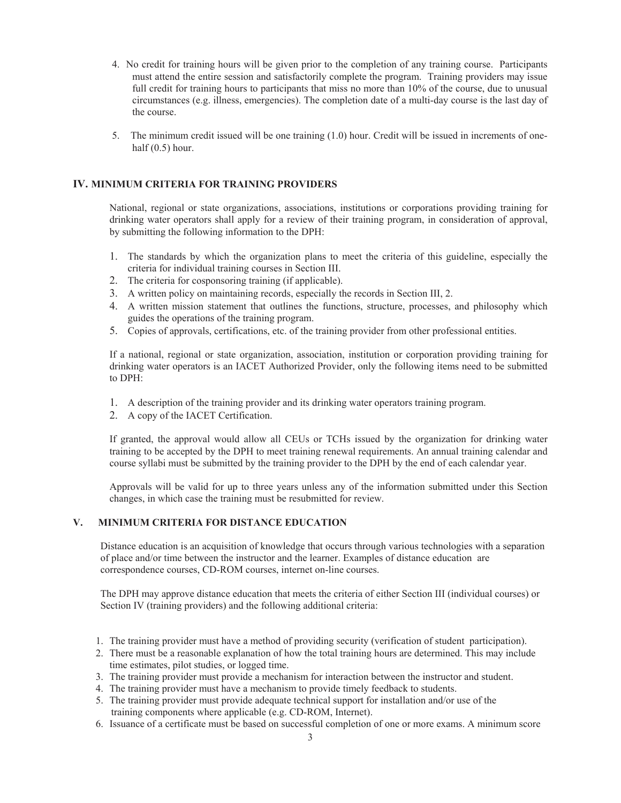- 4. No credit for training hours will be given prior to the completion of any training course. Participants must attend the entire session and satisfactorily complete the program. Training providers may issue full credit for training hours to participants that miss no more than 10% of the course, due to unusual circumstances (e.g. illness, emergencies). The completion date of a multi-day course is the last day of the course.
- 5. The minimum credit issued will be one training (1.0) hour. Credit will be issued in increments of onehalf  $(0.5)$  hour.

# **IV. MINIMUM CRITERIA FOR TRAINING PROVIDERS**

National, regional or state organizations, associations, institutions or corporations providing training for drinking water operators shall apply for a review of their training program, in consideration of approval, by submitting the following information to the DPH:

- 1. The standards by which the organization plans to meet the criteria of this guideline, especially the criteria for individual training courses in Section III.
- 2. The criteria for cosponsoring training (if applicable).
- 3. A written policy on maintaining records, especially the records in Section III, 2.
- 4. A written mission statement that outlines the functions, structure, processes, and philosophy which guides the operations of the training program.
- 5. Copies of approvals, certifications, etc. of the training provider from other professional entities.

If a national, regional or state organization, association, institution or corporation providing training for drinking water operators is an IACET Authorized Provider, only the following items need to be submitted to DPH:

- 1. A description of the training provider and its drinking water operators training program.
- 2. A copy of the IACET Certification.

 If granted, the approval would allow all CEUs or TCHs issued by the organization for drinking water training to be accepted by the DPH to meet training renewal requirements. An annual training calendar and course syllabi must be submitted by the training provider to the DPH by the end of each calendar year.

Approvals will be valid for up to three years unless any of the information submitted under this Section changes, in which case the training must be resubmitted for review.

# **V. MINIMUM CRITERIA FOR DISTANCE EDUCATION**

Distance education is an acquisition of knowledge that occurs through various technologies with a separation of place and/or time between the instructor and the learner. Examples of distance education are correspondence courses, CD-ROM courses, internet on-line courses.

The DPH may approve distance education that meets the criteria of either Section III (individual courses) or Section IV (training providers) and the following additional criteria:

- 1. The training provider must have a method of providing security (verification of student participation).
- 2. There must be a reasonable explanation of how the total training hours are determined. This may include time estimates, pilot studies, or logged time.
- 3. The training provider must provide a mechanism for interaction between the instructor and student.
- 4. The training provider must have a mechanism to provide timely feedback to students.
- 5. The training provider must provide adequate technical support for installation and/or use of the training components where applicable (e.g. CD-ROM, Internet).
- 6. Issuance of a certificate must be based on successful completion of one or more exams. A minimum score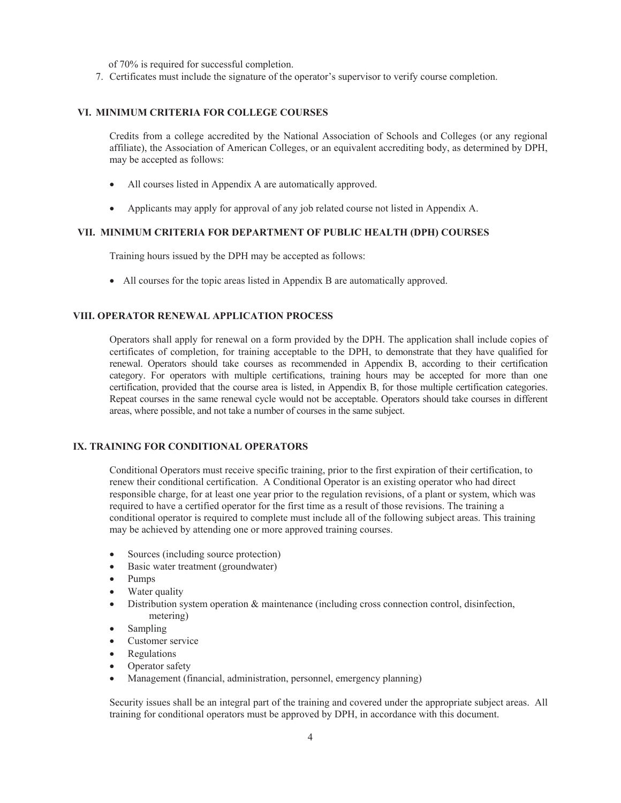of 70% is required for successful completion.

7. Certificates must include the signature of the operator's supervisor to verify course completion.

### **VI. MINIMUM CRITERIA FOR COLLEGE COURSES**

Credits from a college accredited by the National Association of Schools and Colleges (or any regional affiliate), the Association of American Colleges, or an equivalent accrediting body, as determined by DPH, may be accepted as follows:

- All courses listed in Appendix A are automatically approved.
- Applicants may apply for approval of any job related course not listed in Appendix A.

### **VII. MINIMUM CRITERIA FOR DEPARTMENT OF PUBLIC HEALTH (DPH) COURSES**

Training hours issued by the DPH may be accepted as follows:

• All courses for the topic areas listed in Appendix B are automatically approved.

#### **VIII. OPERATOR RENEWAL APPLICATION PROCESS**

Operators shall apply for renewal on a form provided by the DPH. The application shall include copies of certificates of completion, for training acceptable to the DPH, to demonstrate that they have qualified for renewal. Operators should take courses as recommended in Appendix B, according to their certification category. For operators with multiple certifications, training hours may be accepted for more than one certification, provided that the course area is listed, in Appendix B, for those multiple certification categories. Repeat courses in the same renewal cycle would not be acceptable. Operators should take courses in different areas, where possible, and not take a number of courses in the same subject.

### **IX. TRAINING FOR CONDITIONAL OPERATORS**

 Conditional Operators must receive specific training, prior to the first expiration of their certification, to renew their conditional certification. A Conditional Operator is an existing operator who had direct responsible charge, for at least one year prior to the regulation revisions, of a plant or system, which was required to have a certified operator for the first time as a result of those revisions. The training a conditional operator is required to complete must include all of the following subject areas. This training may be achieved by attending one or more approved training courses.

- Sources (including source protection)
- Basic water treatment (groundwater)
- $\bullet$  Pumps
- Water quality
- Distribution system operation & maintenance (including cross connection control, disinfection, metering)
- $\bullet$  Sampling
- Customer service
- Regulations
- Operator safety
- Management (financial, administration, personnel, emergency planning)

Security issues shall be an integral part of the training and covered under the appropriate subject areas. All training for conditional operators must be approved by DPH, in accordance with this document.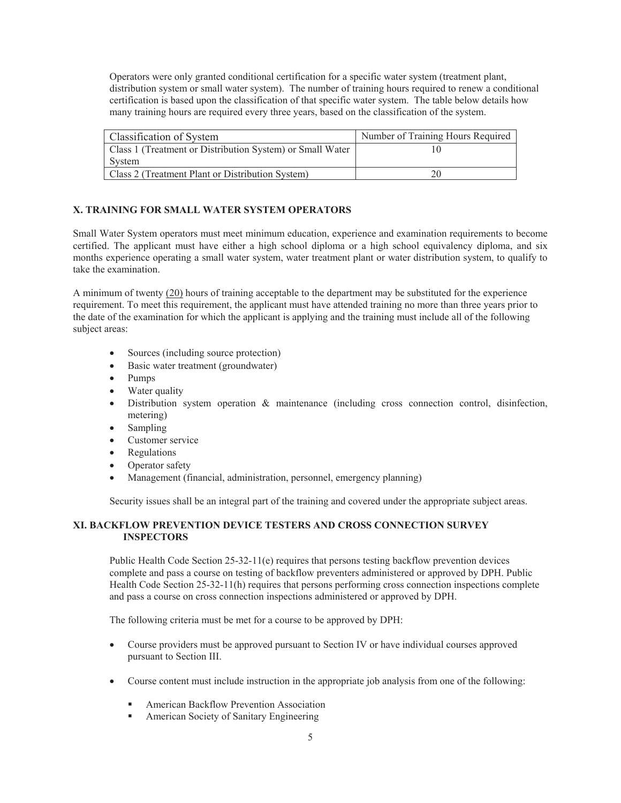Operators were only granted conditional certification for a specific water system (treatment plant, distribution system or small water system). The number of training hours required to renew a conditional certification is based upon the classification of that specific water system. The table below details how many training hours are required every three years, based on the classification of the system.

| Classification of System                                  | Number of Training Hours Required |
|-----------------------------------------------------------|-----------------------------------|
| Class 1 (Treatment or Distribution System) or Small Water |                                   |
| System                                                    |                                   |
| Class 2 (Treatment Plant or Distribution System)          |                                   |

# **X. TRAINING FOR SMALL WATER SYSTEM OPERATORS**

Small Water System operators must meet minimum education, experience and examination requirements to become certified. The applicant must have either a high school diploma or a high school equivalency diploma, and six months experience operating a small water system, water treatment plant or water distribution system, to qualify to take the examination.

A minimum of twenty (20) hours of training acceptable to the department may be substituted for the experience requirement. To meet this requirement, the applicant must have attended training no more than three years prior to the date of the examination for which the applicant is applying and the training must include all of the following subject areas:

- Sources (including source protection)
- Basic water treatment (groundwater)
- $\bullet$  Pumps
- Water quality
- $\bullet$  Distribution system operation & maintenance (including cross connection control, disinfection, metering)
- $\bullet$  Sampling
- Customer service
- Regulations
- Operator safety
- Management (financial, administration, personnel, emergency planning)

Security issues shall be an integral part of the training and covered under the appropriate subject areas.

# **XI. BACKFLOW PREVENTION DEVICE TESTERS AND CROSS CONNECTION SURVEY INSPECTORS**

Public Health Code Section 25-32-11(e) requires that persons testing backflow prevention devices complete and pass a course on testing of backflow preventers administered or approved by DPH. Public Health Code Section 25-32-11(h) requires that persons performing cross connection inspections complete and pass a course on cross connection inspections administered or approved by DPH.

The following criteria must be met for a course to be approved by DPH:

- Course providers must be approved pursuant to Section IV or have individual courses approved pursuant to Section III.
- Course content must include instruction in the appropriate job analysis from one of the following:
	- American Backflow Prevention Association
	- American Society of Sanitary Engineering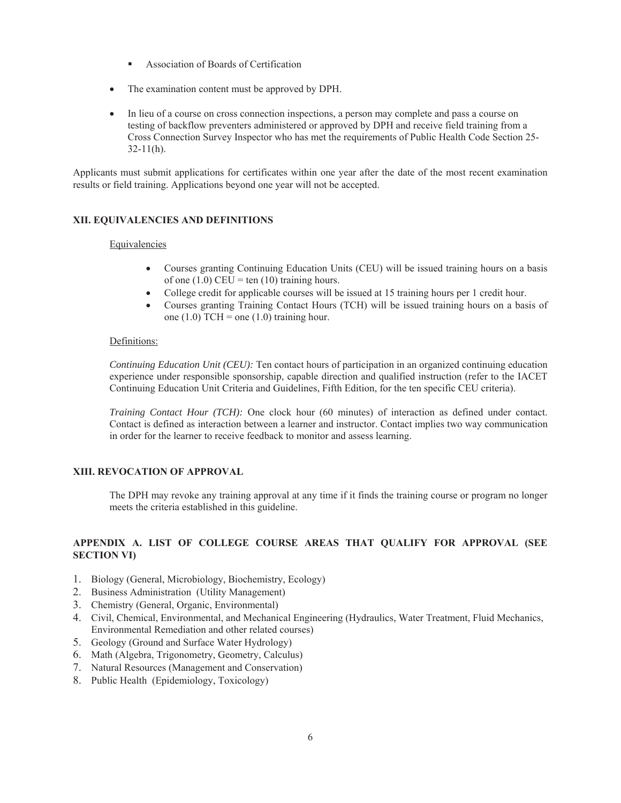- Association of Boards of Certification
- The examination content must be approved by DPH.
- In lieu of a course on cross connection inspections, a person may complete and pass a course on testing of backflow preventers administered or approved by DPH and receive field training from a Cross Connection Survey Inspector who has met the requirements of Public Health Code Section 25-  $32-11(h)$ .

Applicants must submit applications for certificates within one year after the date of the most recent examination results or field training. Applications beyond one year will not be accepted.

# **XII. EQUIVALENCIES AND DEFINITIONS**

#### Equivalencies

- Courses granting Continuing Education Units (CEU) will be issued training hours on a basis of one  $(1.0)$  CEU = ten  $(10)$  training hours.
- College credit for applicable courses will be issued at 15 training hours per 1 credit hour.
- x Courses granting Training Contact Hours (TCH) will be issued training hours on a basis of one  $(1.0)$  TCH = one  $(1.0)$  training hour.

### Definitions:

*Continuing Education Unit (CEU):* Ten contact hours of participation in an organized continuing education experience under responsible sponsorship, capable direction and qualified instruction (refer to the IACET Continuing Education Unit Criteria and Guidelines, Fifth Edition, for the ten specific CEU criteria).

*Training Contact Hour (TCH):* One clock hour (60 minutes) of interaction as defined under contact. Contact is defined as interaction between a learner and instructor. Contact implies two way communication in order for the learner to receive feedback to monitor and assess learning.

### **XIII. REVOCATION OF APPROVAL**

The DPH may revoke any training approval at any time if it finds the training course or program no longer meets the criteria established in this guideline.

### **APPENDIX A. LIST OF COLLEGE COURSE AREAS THAT QUALIFY FOR APPROVAL (SEE SECTION VI)**

- 1. Biology (General, Microbiology, Biochemistry, Ecology)
- 2. Business Administration (Utility Management)
- 3. Chemistry (General, Organic, Environmental)
- 4. Civil, Chemical, Environmental, and Mechanical Engineering (Hydraulics, Water Treatment, Fluid Mechanics, Environmental Remediation and other related courses)
- 5. Geology (Ground and Surface Water Hydrology)
- 6. Math (Algebra, Trigonometry, Geometry, Calculus)
- 7. Natural Resources (Management and Conservation)
- 8. Public Health (Epidemiology, Toxicology)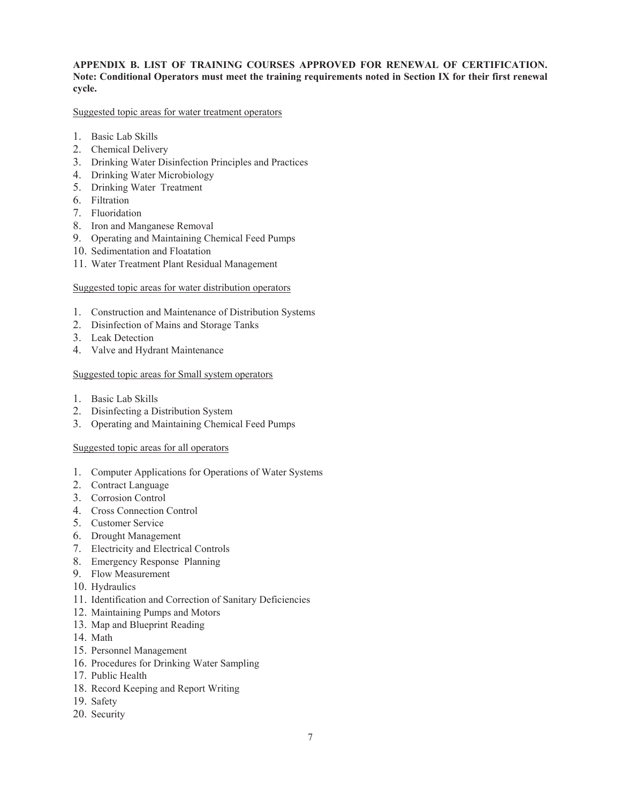## **APPENDIX B. LIST OF TRAINING COURSES APPROVED FOR RENEWAL OF CERTIFICATION. Note: Conditional Operators must meet the training requirements noted in Section IX for their first renewal cycle.**

#### Suggested topic areas for water treatment operators

- 1. Basic Lab Skills
- 2. Chemical Delivery
- 3. Drinking Water Disinfection Principles and Practices
- 4. Drinking Water Microbiology
- 5. Drinking Water Treatment
- 6. Filtration
- 7. Fluoridation
- 8. Iron and Manganese Removal
- 9. Operating and Maintaining Chemical Feed Pumps
- 10. Sedimentation and Floatation
- 11. Water Treatment Plant Residual Management

#### Suggested topic areas for water distribution operators

- 1. Construction and Maintenance of Distribution Systems
- 2. Disinfection of Mains and Storage Tanks
- 3. Leak Detection
- 4. Valve and Hydrant Maintenance

#### Suggested topic areas for Small system operators

- 1. Basic Lab Skills
- 2. Disinfecting a Distribution System
- 3. Operating and Maintaining Chemical Feed Pumps

#### Suggested topic areas for all operators

- 1. Computer Applications for Operations of Water Systems
- 2. Contract Language
- 3. Corrosion Control
- 4. Cross Connection Control
- 5. Customer Service
- 6. Drought Management
- 7. Electricity and Electrical Controls
- 8. Emergency Response Planning
- 9. Flow Measurement
- 10. Hydraulics
- 11. Identification and Correction of Sanitary Deficiencies
- 12. Maintaining Pumps and Motors
- 13. Map and Blueprint Reading
- 14. Math
- 15. Personnel Management
- 16. Procedures for Drinking Water Sampling
- 17. Public Health
- 18. Record Keeping and Report Writing
- 19. Safety
- 20. Security